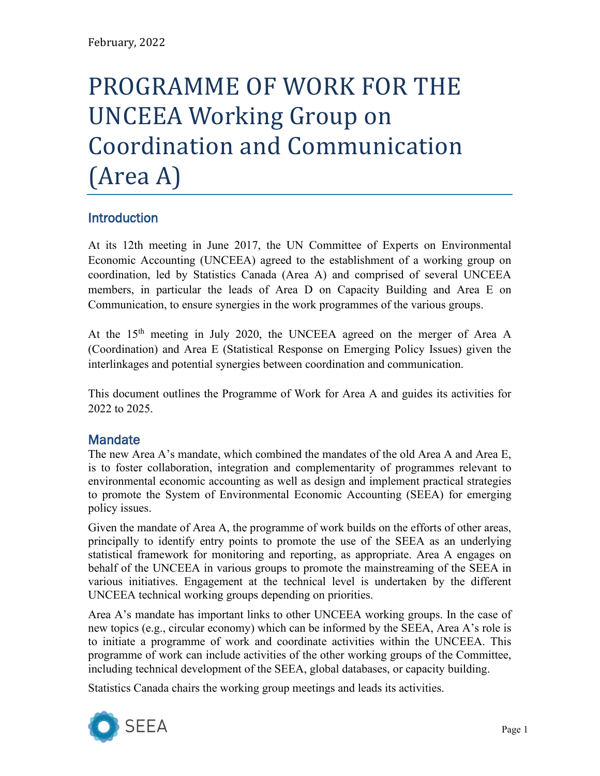# PROGRAMME OF WORK FOR THE UNCEEA Working Group on Coordination and Communication (Area A)

# **Introduction**

At its 12th meeting in June 2017, the UN Committee of Experts on Environmental Economic Accounting (UNCEEA) agreed to the establishment of a working group on coordination, led by Statistics Canada (Area A) and comprised of several UNCEEA members, in particular the leads of Area D on Capacity Building and Area E on Communication, to ensure synergies in the work programmes of the various groups.

At the 15<sup>th</sup> meeting in July 2020, the UNCEEA agreed on the merger of Area A (Coordination) and Area E (Statistical Response on Emerging Policy Issues) given the interlinkages and potential synergies between coordination and communication.

This document outlines the Programme of Work for Area A and guides its activities for 2022 to 2025.

## **Mandate**

The new Area A's mandate, which combined the mandates of the old Area A and Area E, is to foster collaboration, integration and complementarity of programmes relevant to environmental economic accounting as well as design and implement practical strategies to promote the System of Environmental Economic Accounting (SEEA) for emerging policy issues.

Given the mandate of Area A, the programme of work builds on the efforts of other areas, principally to identify entry points to promote the use of the SEEA as an underlying statistical framework for monitoring and reporting, as appropriate. Area A engages on behalf of the UNCEEA in various groups to promote the mainstreaming of the SEEA in various initiatives. Engagement at the technical level is undertaken by the different UNCEEA technical working groups depending on priorities.

Area A's mandate has important links to other UNCEEA working groups. In the case of new topics (e.g., circular economy) which can be informed by the SEEA, Area A's role is to initiate a programme of work and coordinate activities within the UNCEEA. This programme of work can include activities of the other working groups of the Committee, including technical development of the SEEA, global databases, or capacity building.

Statistics Canada chairs the working group meetings and leads its activities.

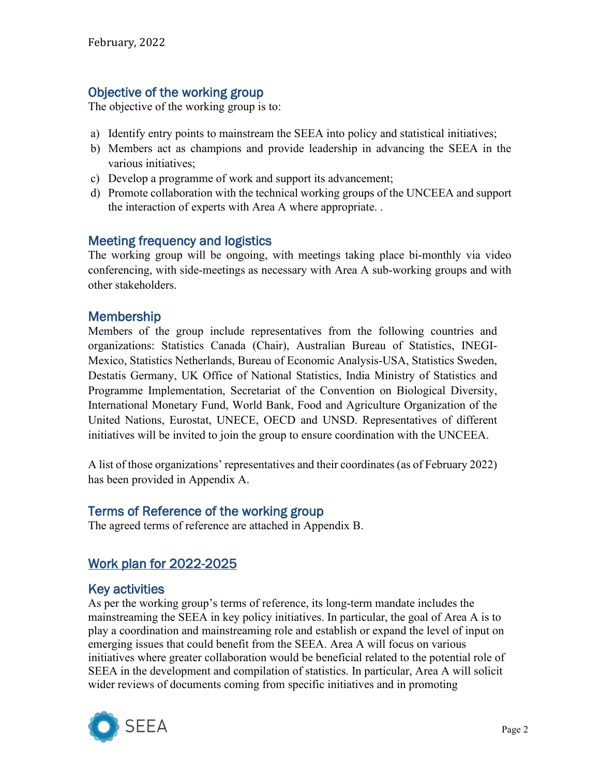## Objective of the working group

The objective of the working group is to:

- a) Identify entry points to mainstream the SEEA into policy and statistical initiatives;
- b) Members act as champions and provide leadership in advancing the SEEA in the various initiatives;
- c) Develop a programme of work and support its advancement;
- d) Promote collaboration with the technical working groups of the UNCEEA and support the interaction of experts with Area A where appropriate. .

## Meeting frequency and logistics

The working group will be ongoing, with meetings taking place bi-monthly via video conferencing, with side-meetings as necessary with Area A sub-working groups and with other stakeholders.

## **Membership**

Members of the group include representatives from the following countries and organizations: Statistics Canada (Chair), Australian Bureau of Statistics, INEGI-Mexico, Statistics Netherlands, Bureau of Economic Analysis-USA, Statistics Sweden, Destatis Germany, UK Office of National Statistics, India Ministry of Statistics and Programme Implementation, Secretariat of the Convention on Biological Diversity, International Monetary Fund, World Bank, Food and Agriculture Organization of the United Nations, Eurostat, UNECE, OECD and UNSD. Representatives of different initiatives will be invited to join the group to ensure coordination with the UNCEEA.

A list of those organizations' representatives and their coordinates (as of February 2022) has been provided in Appendix A.

## Terms of Reference of the working group

The agreed terms of reference are attached in Appendix B.

# Work plan for 2022-2025

## Key activities

As per the working group's terms of reference, its long-term mandate includes the mainstreaming the SEEA in key policy initiatives. In particular, the goal of Area A is to play a coordination and mainstreaming role and establish or expand the level of input on emerging issues that could benefit from the SEEA. Area A will focus on various initiatives where greater collaboration would be beneficial related to the potential role of SEEA in the development and compilation of statistics. In particular, Area A will solicit wider reviews of documents coming from specific initiatives and in promoting

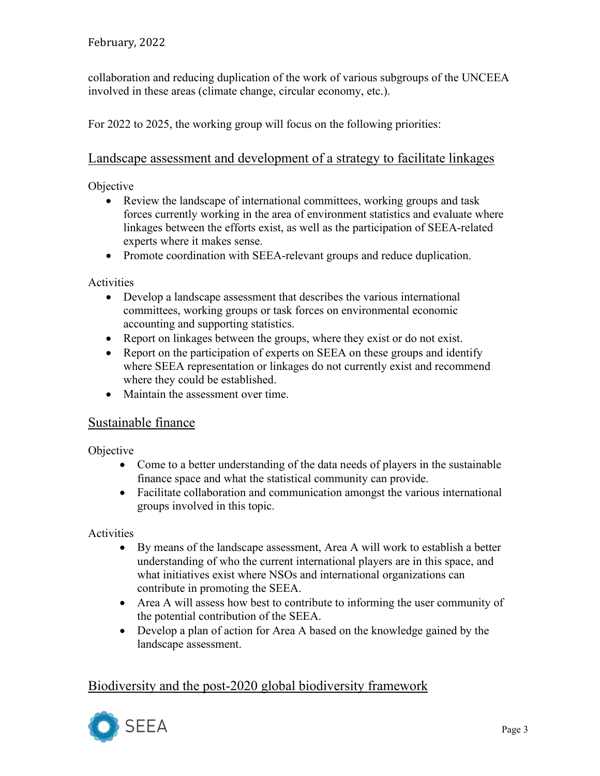collaboration and reducing duplication of the work of various subgroups of the UNCEEA involved in these areas (climate change, circular economy, etc.).

For 2022 to 2025, the working group will focus on the following priorities:

## Landscape assessment and development of a strategy to facilitate linkages

#### **Objective**

- Review the landscape of international committees, working groups and task forces currently working in the area of environment statistics and evaluate where linkages between the efforts exist, as well as the participation of SEEA-related experts where it makes sense.
- Promote coordination with SEEA-relevant groups and reduce duplication.

Activities

- Develop a landscape assessment that describes the various international committees, working groups or task forces on environmental economic accounting and supporting statistics.
- Report on linkages between the groups, where they exist or do not exist.
- Report on the participation of experts on SEEA on these groups and identify where SEEA representation or linkages do not currently exist and recommend where they could be established.
- Maintain the assessment over time.

### Sustainable finance

**Objective** 

- Come to a better understanding of the data needs of players in the sustainable finance space and what the statistical community can provide.
- Facilitate collaboration and communication amongst the various international groups involved in this topic.

**Activities** 

- By means of the landscape assessment, Area A will work to establish a better understanding of who the current international players are in this space, and what initiatives exist where NSOs and international organizations can contribute in promoting the SEEA.
- Area A will assess how best to contribute to informing the user community of the potential contribution of the SEEA.
- Develop a plan of action for Area A based on the knowledge gained by the landscape assessment.

# Biodiversity and the post-2020 global biodiversity framework

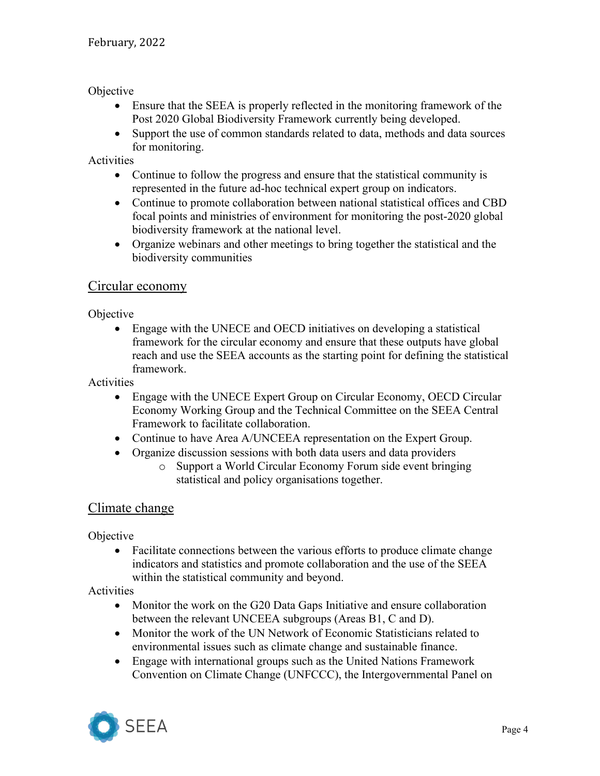#### Objective

- Ensure that the SEEA is properly reflected in the monitoring framework of the Post 2020 Global Biodiversity Framework currently being developed.
- Support the use of common standards related to data, methods and data sources for monitoring.

#### Activities

- Continue to follow the progress and ensure that the statistical community is represented in the future ad-hoc technical expert group on indicators.
- Continue to promote collaboration between national statistical offices and CBD focal points and ministries of environment for monitoring the post-2020 global biodiversity framework at the national level.
- Organize webinars and other meetings to bring together the statistical and the biodiversity communities

#### Circular economy

#### **Objective**

• Engage with the UNECE and OECD initiatives on developing a statistical framework for the circular economy and ensure that these outputs have global reach and use the SEEA accounts as the starting point for defining the statistical framework.

#### Activities

- Engage with the UNECE Expert Group on Circular Economy, OECD Circular Economy Working Group and the Technical Committee on the SEEA Central Framework to facilitate collaboration.
- Continue to have Area A/UNCEEA representation on the Expert Group.
- Organize discussion sessions with both data users and data providers
	- o Support a World Circular Economy Forum side event bringing statistical and policy organisations together.

#### Climate change

#### Objective

• Facilitate connections between the various efforts to produce climate change indicators and statistics and promote collaboration and the use of the SEEA within the statistical community and beyond.

#### Activities

- Monitor the work on the G20 Data Gaps Initiative and ensure collaboration between the relevant UNCEEA subgroups (Areas B1, C and D).
- Monitor the work of the UN Network of Economic Statisticians related to environmental issues such as climate change and sustainable finance.
- Engage with international groups such as the United Nations Framework Convention on Climate Change (UNFCCC), the Intergovernmental Panel on

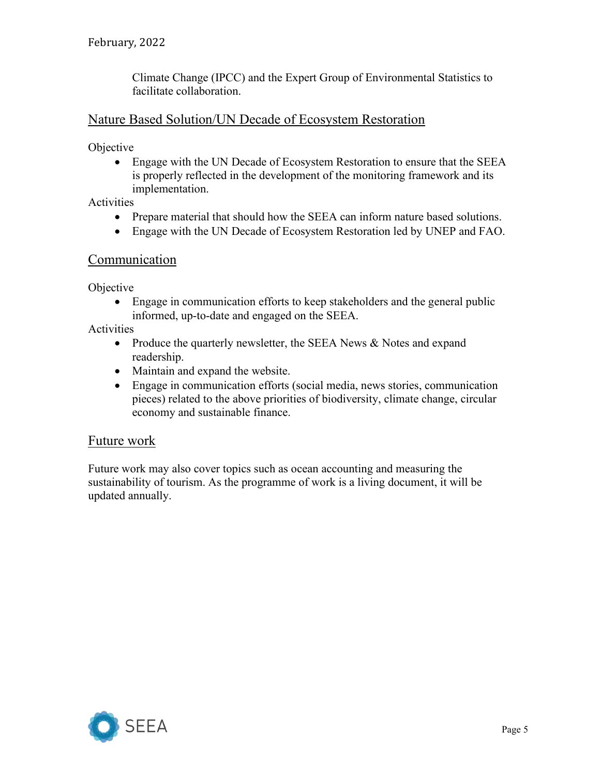Climate Change (IPCC) and the Expert Group of Environmental Statistics to facilitate collaboration.

### Nature Based Solution/UN Decade of Ecosystem Restoration

**Objective** 

• Engage with the UN Decade of Ecosystem Restoration to ensure that the SEEA is properly reflected in the development of the monitoring framework and its implementation.

Activities

- Prepare material that should how the SEEA can inform nature based solutions.
- Engage with the UN Decade of Ecosystem Restoration led by UNEP and FAO.

#### Communication

**Objective** 

• Engage in communication efforts to keep stakeholders and the general public informed, up-to-date and engaged on the SEEA.

Activities

- Produce the quarterly newsletter, the SEEA News & Notes and expand readership.
- Maintain and expand the website.
- Engage in communication efforts (social media, news stories, communication pieces) related to the above priorities of biodiversity, climate change, circular economy and sustainable finance.

#### Future work

Future work may also cover topics such as ocean accounting and measuring the sustainability of tourism. As the programme of work is a living document, it will be updated annually.

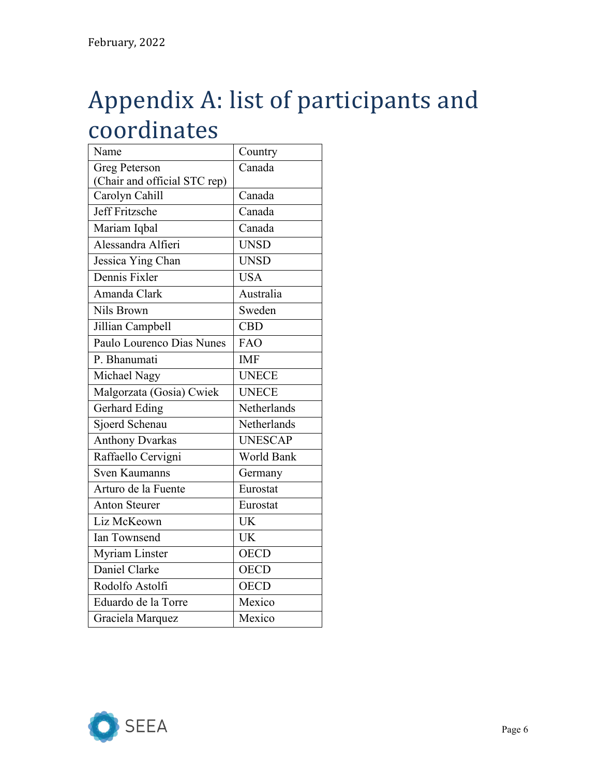# Appendix A: list of participants and coordinates

| Name                         | Country           |
|------------------------------|-------------------|
| Greg Peterson                | Canada            |
| (Chair and official STC rep) |                   |
| Carolyn Cahill               | Canada            |
| Jeff Fritzsche               | Canada            |
| Mariam Iqbal                 | Canada            |
| Alessandra Alfieri           | <b>UNSD</b>       |
| Jessica Ying Chan            | <b>UNSD</b>       |
| Dennis Fixler                | <b>USA</b>        |
| Amanda Clark                 | Australia         |
| Nils Brown                   | Sweden            |
| Jillian Campbell             | <b>CBD</b>        |
| Paulo Lourenco Dias Nunes    | <b>FAO</b>        |
| P. Bhanumati                 | <b>IMF</b>        |
| Michael Nagy                 | <b>UNECE</b>      |
| Malgorzata (Gosia) Cwiek     | <b>UNECE</b>      |
| <b>Gerhard Eding</b>         | Netherlands       |
| Sjoerd Schenau               | Netherlands       |
| <b>Anthony Dvarkas</b>       | <b>UNESCAP</b>    |
| Raffaello Cervigni           | <b>World Bank</b> |
| Sven Kaumanns                | Germany           |
| Arturo de la Fuente          | Eurostat          |
| <b>Anton Steurer</b>         | Eurostat          |
| Liz McKeown                  | <b>UK</b>         |
| Ian Townsend                 | <b>UK</b>         |
| <b>Myriam Linster</b>        | <b>OECD</b>       |
| Daniel Clarke                | <b>OECD</b>       |
| Rodolfo Astolfi              | <b>OECD</b>       |
| Eduardo de la Torre          | Mexico            |
| Graciela Marquez             | Mexico            |

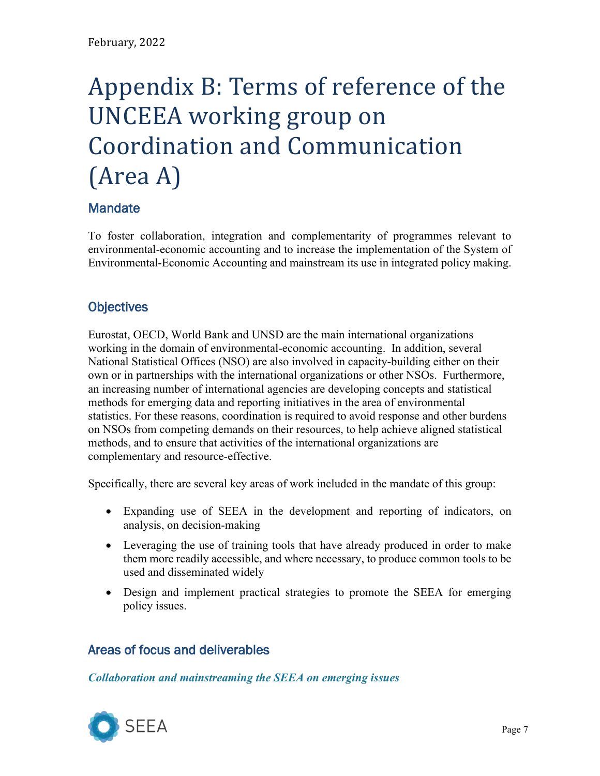# Appendix B: Terms of reference of the UNCEEA working group on Coordination and Communication (Area A)

# **Mandate**

To foster collaboration, integration and complementarity of programmes relevant to environmental-economic accounting and to increase the implementation of the System of Environmental-Economic Accounting and mainstream its use in integrated policy making.

# **Objectives**

Eurostat, OECD, World Bank and UNSD are the main international organizations working in the domain of environmental-economic accounting. In addition, several National Statistical Offices (NSO) are also involved in capacity-building either on their own or in partnerships with the international organizations or other NSOs. Furthermore, an increasing number of international agencies are developing concepts and statistical methods for emerging data and reporting initiatives in the area of environmental statistics. For these reasons, coordination is required to avoid response and other burdens on NSOs from competing demands on their resources, to help achieve aligned statistical methods, and to ensure that activities of the international organizations are complementary and resource-effective.

Specifically, there are several key areas of work included in the mandate of this group:

- Expanding use of SEEA in the development and reporting of indicators, on analysis, on decision-making
- Leveraging the use of training tools that have already produced in order to make them more readily accessible, and where necessary, to produce common tools to be used and disseminated widely
- Design and implement practical strategies to promote the SEEA for emerging policy issues.

# Areas of focus and deliverables

### *Collaboration and mainstreaming the SEEA on emerging issues*